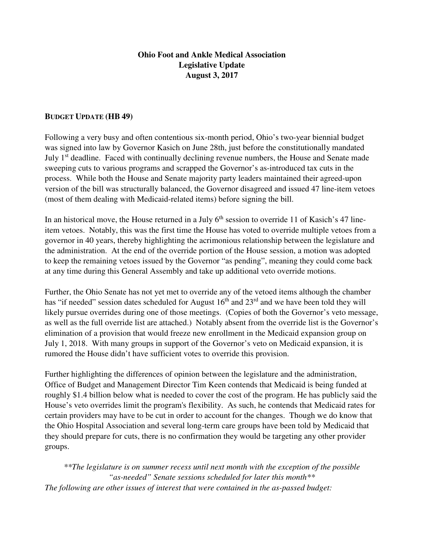#### **Ohio Foot and Ankle Medical Association Legislative Update August 3, 2017**

#### **BUDGET UPDATE (HB 49)**

Following a very busy and often contentious six-month period, Ohio's two-year biennial budget was signed into law by Governor Kasich on June 28th, just before the constitutionally mandated July 1<sup>st</sup> deadline. Faced with continually declining revenue numbers, the House and Senate made sweeping cuts to various programs and scrapped the Governor's as-introduced tax cuts in the process. While both the House and Senate majority party leaders maintained their agreed-upon version of the bill was structurally balanced, the Governor disagreed and issued 47 line-item vetoes (most of them dealing with Medicaid-related items) before signing the bill.

In an historical move, the House returned in a July  $6<sup>th</sup>$  session to override 11 of Kasich's 47 lineitem vetoes. Notably, this was the first time the House has voted to override multiple vetoes from a governor in 40 years, thereby highlighting the acrimonious relationship between the legislature and the administration. At the end of the override portion of the House session, a motion was adopted to keep the remaining vetoes issued by the Governor "as pending", meaning they could come back at any time during this General Assembly and take up additional veto override motions.

Further, the Ohio Senate has not yet met to override any of the vetoed items although the chamber has "if needed" session dates scheduled for August  $16<sup>th</sup>$  and  $23<sup>rd</sup>$  and we have been told they will likely pursue overrides during one of those meetings. (Copies of both the Governor's veto message, as well as the full override list are attached.) Notably absent from the override list is the Governor's elimination of a provision that would freeze new enrollment in the Medicaid expansion group on July 1, 2018. With many groups in support of the Governor's veto on Medicaid expansion, it is rumored the House didn't have sufficient votes to override this provision.

Further highlighting the differences of opinion between the legislature and the administration, Office of Budget and Management Director Tim Keen contends that Medicaid is being funded at roughly \$1.4 billion below what is needed to cover the cost of the program. He has publicly said the House's veto overrides limit the program's flexibility. As such, he contends that Medicaid rates for certain providers may have to be cut in order to account for the changes. Though we do know that the Ohio Hospital Association and several long-term care groups have been told by Medicaid that they should prepare for cuts, there is no confirmation they would be targeting any other provider groups.

*\*\*The legislature is on summer recess until next month with the exception of the possible "as-needed" Senate sessions scheduled for later this month\*\* The following are other issues of interest that were contained in the as-passed budget:*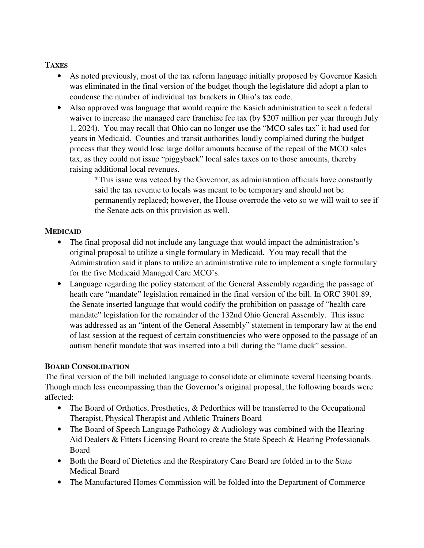### **TAXES**

- As noted previously, most of the tax reform language initially proposed by Governor Kasich was eliminated in the final version of the budget though the legislature did adopt a plan to condense the number of individual tax brackets in Ohio's tax code.
- Also approved was language that would require the Kasich administration to seek a federal waiver to increase the managed care franchise fee tax (by \$207 million per year through July 1, 2024). You may recall that Ohio can no longer use the "MCO sales tax" it had used for years in Medicaid. Counties and transit authorities loudly complained during the budget process that they would lose large dollar amounts because of the repeal of the MCO sales tax, as they could not issue "piggyback" local sales taxes on to those amounts, thereby raising additional local revenues.

\*This issue was vetoed by the Governor, as administration officials have constantly said the tax revenue to locals was meant to be temporary and should not be permanently replaced; however, the House overrode the veto so we will wait to see if the Senate acts on this provision as well.

#### **MEDICAID**

- The final proposal did not include any language that would impact the administration's original proposal to utilize a single formulary in Medicaid. You may recall that the Administration said it plans to utilize an administrative rule to implement a single formulary for the five Medicaid Managed Care MCO's.
- Language regarding the policy statement of the General Assembly regarding the passage of heath care "mandate" legislation remained in the final version of the bill. In ORC 3901.89, the Senate inserted language that would codify the prohibition on passage of "health care mandate" legislation for the remainder of the 132nd Ohio General Assembly. This issue was addressed as an "intent of the General Assembly" statement in temporary law at the end of last session at the request of certain constituencies who were opposed to the passage of an autism benefit mandate that was inserted into a bill during the "lame duck" session.

#### **BOARD CONSOLIDATION**

The final version of the bill included language to consolidate or eliminate several licensing boards. Though much less encompassing than the Governor's original proposal, the following boards were affected:

- The Board of Orthotics, Prosthetics, & Pedorthics will be transferred to the Occupational Therapist, Physical Therapist and Athletic Trainers Board
- The Board of Speech Language Pathology & Audiology was combined with the Hearing Aid Dealers & Fitters Licensing Board to create the State Speech & Hearing Professionals Board
- Both the Board of Dietetics and the Respiratory Care Board are folded in to the State Medical Board
- The Manufactured Homes Commission will be folded into the Department of Commerce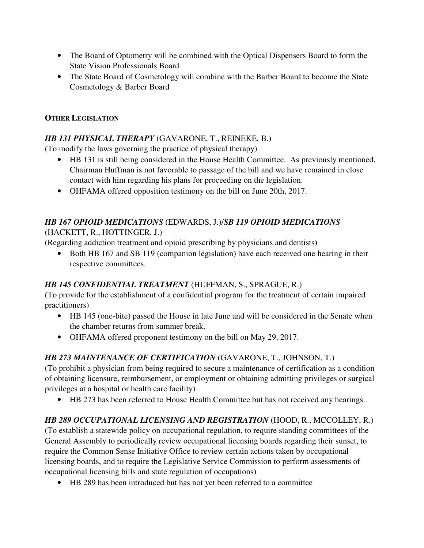- The Board of Optometry will be combined with the Optical Dispensers Board to form the State Vision Professionals Board
- The State Board of Cosmetology will combine with the Barber Board to become the State Cosmetology & Barber Board

### **OTHER LEGISLATION**

### *HB 131 PHYSICAL THERAPY* (GAVARONE, T., REINEKE, B.)

(To modify the laws governing the practice of physical therapy)

- HB 131 is still being considered in the House Health Committee. As previously mentioned, Chairman Huffman is not favorable to passage of the bill and we have remained in close contact with him regarding his plans for proceeding on the legislation.
- OHFAMA offered opposition testimony on the bill on June 20th, 2017.

### *HB 167 OPIOID MEDICATIONS* (EDWARDS, J.)/*SB 119 OPIOID MEDICATIONS* (HACKETT, R., HOTTINGER, J.)

(Regarding addiction treatment and opioid prescribing by physicians and dentists)

• Both HB 167 and SB 119 (companion legislation) have each received one hearing in their respective committees.

# *HB 145 CONFIDENTIAL TREATMENT* (HUFFMAN, S., SPRAGUE, R.)

(To provide for the establishment of a confidential program for the treatment of certain impaired practitioners)

- HB 145 (one-bite) passed the House in late June and will be considered in the Senate when the chamber returns from summer break.
- OHFAMA offered proponent testimony on the bill on May 29, 2017.

# *HB 273 MAINTENANCE OF CERTIFICATION* (GAVARONE, T., JOHNSON, T.)

(To prohibit a physician from being required to secure a maintenance of certification as a condition of obtaining licensure, reimbursement, or employment or obtaining admitting privileges or surgical privileges at a hospital or health care facility)

• HB 273 has been referred to House Health Committee but has not received any hearings.

# *HB 289 OCCUPATIONAL LICENSING AND REGISTRATION* (HOOD, R., MCCOLLEY, R.)

(To establish a statewide policy on occupational regulation, to require standing committees of the General Assembly to periodically review occupational licensing boards regarding their sunset, to require the Common Sense Initiative Office to review certain actions taken by occupational licensing boards, and to require the Legislative Service Commission to perform assessments of occupational licensing bills and state regulation of occupations)

• HB 289 has been introduced but has not yet been referred to a committee